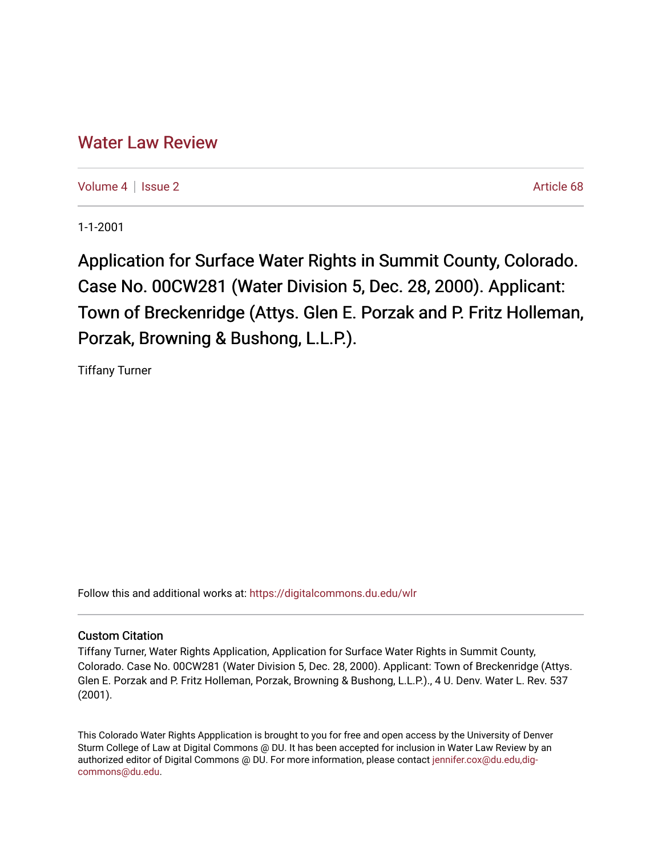## [Water Law Review](https://digitalcommons.du.edu/wlr)

[Volume 4](https://digitalcommons.du.edu/wlr/vol4) | [Issue 2](https://digitalcommons.du.edu/wlr/vol4/iss2) Article 68

1-1-2001

Application for Surface Water Rights in Summit County, Colorado. Case No. 00CW281 (Water Division 5, Dec. 28, 2000). Applicant: Town of Breckenridge (Attys. Glen E. Porzak and P. Fritz Holleman, Porzak, Browning & Bushong, L.L.P.).

Tiffany Turner

Follow this and additional works at: [https://digitalcommons.du.edu/wlr](https://digitalcommons.du.edu/wlr?utm_source=digitalcommons.du.edu%2Fwlr%2Fvol4%2Fiss2%2F68&utm_medium=PDF&utm_campaign=PDFCoverPages) 

## Custom Citation

Tiffany Turner, Water Rights Application, Application for Surface Water Rights in Summit County, Colorado. Case No. 00CW281 (Water Division 5, Dec. 28, 2000). Applicant: Town of Breckenridge (Attys. Glen E. Porzak and P. Fritz Holleman, Porzak, Browning & Bushong, L.L.P.)., 4 U. Denv. Water L. Rev. 537 (2001).

This Colorado Water Rights Appplication is brought to you for free and open access by the University of Denver Sturm College of Law at Digital Commons @ DU. It has been accepted for inclusion in Water Law Review by an authorized editor of Digital Commons @ DU. For more information, please contact [jennifer.cox@du.edu,dig](mailto:jennifer.cox@du.edu,dig-commons@du.edu)[commons@du.edu.](mailto:jennifer.cox@du.edu,dig-commons@du.edu)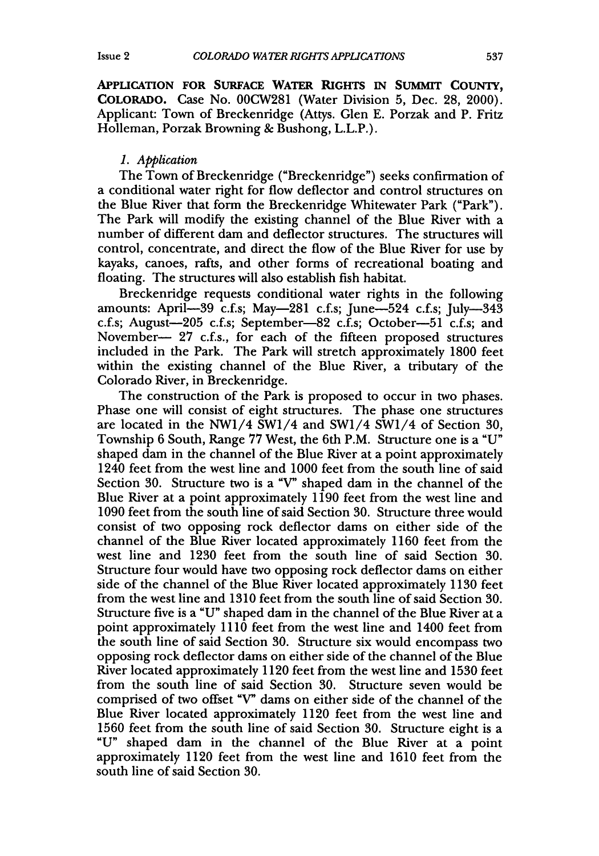**APPLICATION FOR SURFACE WATER RIGHTS IN SUMMIT COUNTY, COLORADO.** Case No. 00CW281 (Water Division **5,** Dec. **28,** 2000). Applicant: Town of Breckenridge (Attys. Glen **E.** Porzak and P. Fritz Holleman, Porzak Browning & Bushong, L.L.P.).

## *1. Application*

The Town of Breckenridge ("Breckenridge") seeks confirmation of a conditional water right for flow deflector and control structures on the Blue River that form the Breckenridge Whitewater Park ("Park"). The Park will modify the existing channel of the Blue River with a number of different dam and deflector structures. The structures will control, concentrate, and direct the flow of the Blue River for use by kayaks, canoes, rafts, and other forms of recreational boating and floating. The structures will also establish fish habitat.

Breckenridge requests conditional water rights in the following amounts: April—39 c.f.s; May—281 c.f.s; June—524 c.f.s; July—343 c.f.s; August-205 c.f.s; September-82 c.f.s; October-51 c.f.s; and November- 27 c.f.s., for each of the fifteen proposed structures included in the Park. The Park will stretch approximately 1800 feet within the existing channel of the Blue River, a tributary of the Colorado River, in Breckenridge.

The construction of the Park is proposed to occur in two phases. Phase one will consist of eight structures. The phase one structures are located in the NW1/4 SWI/4 and SW1/4 SW1/4 of Section 30, Township 6 South, Range 77 West, the 6th P.M. Structure one is a "U" shaped dam in the channel of the Blue River at a point approximately 1240 feet from the west line and 1000 feet from the south line of said Section 30. Structure two is a "V" shaped dam in the channel of the Blue River at a point approximately  $1\overline{1}90$  feet from the west line and 1090 feet from the south line of said Section 30. Structure three would consist of two opposing rock deflector dams on either side of the channel of the Blue River located approximately 1160 feet from the west line and 1230 feet from the south line of said Section 30. Structure four would have two opposing rock deflector dams on either side of the channel of the Blue River located approximately 1130 feet from the west line and 1310 feet from the south line of said Section 30. Structure five is a "U" shaped dam in the channel of the Blue River at a point approximately 1110 feet from the west line and 1400 feet from the south line of said Section 30. Structure six would encompass two opposing rock deflector dams on either side of the channel of the Blue River located approximately 1120 feet from the west line and 1530 feet from the south line of said Section 30. Structure seven would be comprised of two offset "V" dams on either side of the channel of the Blue River located approximately 1120 feet from the west line and 1560 feet from the south line of said Section 30. Structure eight is a "U" shaped dam in the channel of the Blue River at a point approximately 1120 feet from the west line and 1610 feet from the south line of said Section 30.